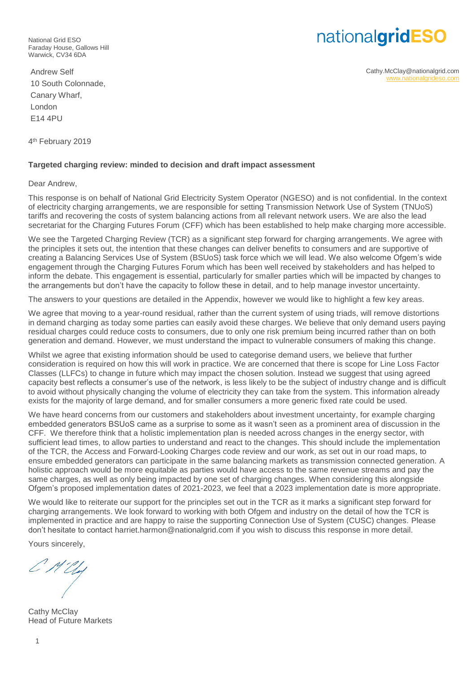nationalgridESO

Cathy.McClay@nationalgrid.com [www.nationalgrideso.com](http://www.nationalgrideso.com/)

National Grid ESO Faraday House, Gallows Hill Warwick, CV34 6DA

Andrew Self 10 South Colonnade, Canary Wharf, London E14 4PU

4<sup>th</sup> February 2019

# **Targeted charging review: minded to decision and draft impact assessment**

Dear Andrew,

This response is on behalf of National Grid Electricity System Operator (NGESO) and is not confidential. In the context of electricity charging arrangements, we are responsible for setting Transmission Network Use of System (TNUoS) tariffs and recovering the costs of system balancing actions from all relevant network users. We are also the lead secretariat for the Charging Futures Forum (CFF) which has been established to help make charging more accessible.

We see the Targeted Charging Review (TCR) as a significant step forward for charging arrangements. We agree with the principles it sets out, the intention that these changes can deliver benefits to consumers and are supportive of creating a Balancing Services Use of System (BSUoS) task force which we will lead. We also welcome Ofgem's wide engagement through the Charging Futures Forum which has been well received by stakeholders and has helped to inform the debate. This engagement is essential, particularly for smaller parties which will be impacted by changes to the arrangements but don't have the capacity to follow these in detail, and to help manage investor uncertainty.

The answers to your questions are detailed in the Appendix, however we would like to highlight a few key areas.

We agree that moving to a year-round residual, rather than the current system of using triads, will remove distortions in demand charging as today some parties can easily avoid these charges. We believe that only demand users paying residual charges could reduce costs to consumers, due to only one risk premium being incurred rather than on both generation and demand. However, we must understand the impact to vulnerable consumers of making this change.

Whilst we agree that existing information should be used to categorise demand users, we believe that further consideration is required on how this will work in practice. We are concerned that there is scope for Line Loss Factor Classes (LLFCs) to change in future which may impact the chosen solution. Instead we suggest that using agreed capacity best reflects a consumer's use of the network, is less likely to be the subject of industry change and is difficult to avoid without physically changing the volume of electricity they can take from the system. This information already exists for the majority of large demand, and for smaller consumers a more generic fixed rate could be used.

We have heard concerns from our customers and stakeholders about investment uncertainty, for example charging embedded generators BSUoS came as a surprise to some as it wasn't seen as a prominent area of discussion in the CFF. We therefore think that a holistic implementation plan is needed across changes in the energy sector, with sufficient lead times, to allow parties to understand and react to the changes. This should include the implementation of the TCR, the Access and Forward-Looking Charges code review and our work, as set out in our road maps, to ensure embedded generators can participate in the same balancing markets as transmission connected generation. A holistic approach would be more equitable as parties would have access to the same revenue streams and pay the same charges, as well as only being impacted by one set of charging changes. When considering this alongside Ofgem's proposed implementation dates of 2021-2023, we feel that a 2023 implementation date is more appropriate.

We would like to reiterate our support for the principles set out in the TCR as it marks a significant step forward for charging arrangements. We look forward to working with both Ofgem and industry on the detail of how the TCR is implemented in practice and are happy to raise the supporting Connection Use of System (CUSC) changes. Please don't hesitate to contact harriet.harmon@nationalgrid.com if you wish to discuss this response in more detail.

Yours sincerely,

Cathy McClay Head of Future Markets

1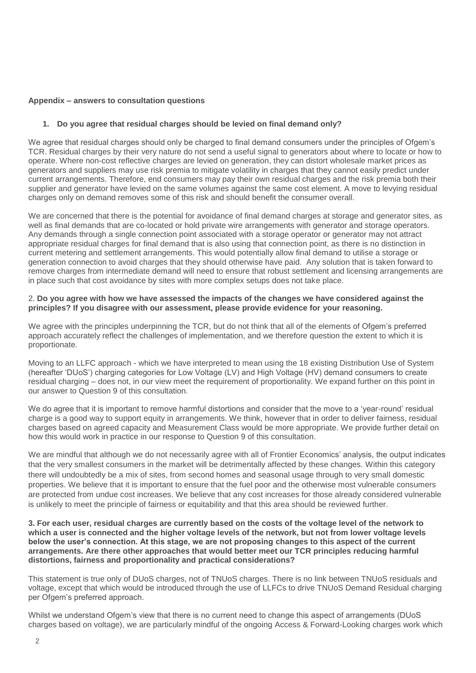## **Appendix – answers to consultation questions**

# **1. Do you agree that residual charges should be levied on final demand only?**

We agree that residual charges should only be charged to final demand consumers under the principles of Ofgem's TCR. Residual charges by their very nature do not send a useful signal to generators about where to locate or how to operate. Where non-cost reflective charges are levied on generation, they can distort wholesale market prices as generators and suppliers may use risk premia to mitigate volatility in charges that they cannot easily predict under current arrangements. Therefore, end consumers may pay their own residual charges and the risk premia both their supplier and generator have levied on the same volumes against the same cost element. A move to levying residual charges only on demand removes some of this risk and should benefit the consumer overall.

We are concerned that there is the potential for avoidance of final demand charges at storage and generator sites, as well as final demands that are co-located or hold private wire arrangements with generator and storage operators. Any demands through a single connection point associated with a storage operator or generator may not attract appropriate residual charges for final demand that is also using that connection point, as there is no distinction in current metering and settlement arrangements. This would potentially allow final demand to utilise a storage or generation connection to avoid charges that they should otherwise have paid. Any solution that is taken forward to remove charges from intermediate demand will need to ensure that robust settlement and licensing arrangements are in place such that cost avoidance by sites with more complex setups does not take place.

#### 2. **Do you agree with how we have assessed the impacts of the changes we have considered against the principles? If you disagree with our assessment, please provide evidence for your reasoning.**

We agree with the principles underpinning the TCR, but do not think that all of the elements of Ofgem's preferred approach accurately reflect the challenges of implementation, and we therefore question the extent to which it is proportionate.

Moving to an LLFC approach - which we have interpreted to mean using the 18 existing Distribution Use of System (hereafter 'DUoS') charging categories for Low Voltage (LV) and High Voltage (HV) demand consumers to create residual charging – does not, in our view meet the requirement of proportionality. We expand further on this point in our answer to Question 9 of this consultation.

We do agree that it is important to remove harmful distortions and consider that the move to a 'year-round' residual charge is a good way to support equity in arrangements. We think, however that in order to deliver fairness, residual charges based on agreed capacity and Measurement Class would be more appropriate. We provide further detail on how this would work in practice in our response to Question 9 of this consultation.

We are mindful that although we do not necessarily agree with all of Frontier Economics' analysis, the output indicates that the very smallest consumers in the market will be detrimentally affected by these changes. Within this category there will undoubtedly be a mix of sites, from second homes and seasonal usage through to very small domestic properties. We believe that it is important to ensure that the fuel poor and the otherwise most vulnerable consumers are protected from undue cost increases. We believe that any cost increases for those already considered vulnerable is unlikely to meet the principle of fairness or equitability and that this area should be reviewed further.

**3. For each user, residual charges are currently based on the costs of the voltage level of the network to which a user is connected and the higher voltage levels of the network, but not from lower voltage levels below the user's connection. At this stage, we are not proposing changes to this aspect of the current arrangements. Are there other approaches that would better meet our TCR principles reducing harmful distortions, fairness and proportionality and practical considerations?**

This statement is true only of DUoS charges, not of TNUoS charges. There is no link between TNUoS residuals and voltage, except that which would be introduced through the use of LLFCs to drive TNUoS Demand Residual charging per Ofgem's preferred approach.

Whilst we understand Ofgem's view that there is no current need to change this aspect of arrangements (DUoS charges based on voltage), we are particularly mindful of the ongoing Access & Forward-Looking charges work which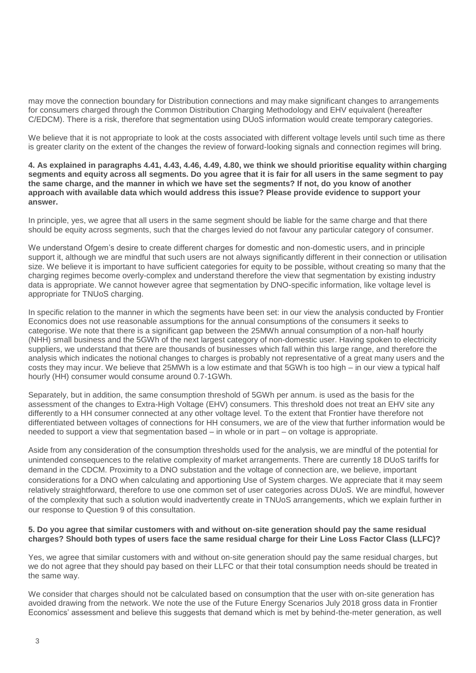may move the connection boundary for Distribution connections and may make significant changes to arrangements for consumers charged through the Common Distribution Charging Methodology and EHV equivalent (hereafter C/EDCM). There is a risk, therefore that segmentation using DUoS information would create temporary categories.

We believe that it is not appropriate to look at the costs associated with different voltage levels until such time as there is greater clarity on the extent of the changes the review of forward-looking signals and connection regimes will bring.

**4. As explained in paragraphs 4.41, 4.43, 4.46, 4.49, 4.80, we think we should prioritise equality within charging segments and equity across all segments. Do you agree that it is fair for all users in the same segment to pay the same charge, and the manner in which we have set the segments? If not, do you know of another approach with available data which would address this issue? Please provide evidence to support your answer.**

In principle, yes, we agree that all users in the same segment should be liable for the same charge and that there should be equity across segments, such that the charges levied do not favour any particular category of consumer.

We understand Ofgem's desire to create different charges for domestic and non-domestic users, and in principle support it, although we are mindful that such users are not always significantly different in their connection or utilisation size. We believe it is important to have sufficient categories for equity to be possible, without creating so many that the charging regimes become overly-complex and understand therefore the view that segmentation by existing industry data is appropriate. We cannot however agree that segmentation by DNO-specific information, like voltage level is appropriate for TNUoS charging.

In specific relation to the manner in which the segments have been set: in our view the analysis conducted by Frontier Economics does not use reasonable assumptions for the annual consumptions of the consumers it seeks to categorise. We note that there is a significant gap between the 25MWh annual consumption of a non-half hourly (NHH) small business and the 5GWh of the next largest category of non-domestic user. Having spoken to electricity suppliers, we understand that there are thousands of businesses which fall within this large range, and therefore the analysis which indicates the notional changes to charges is probably not representative of a great many users and the costs they may incur. We believe that 25MWh is a low estimate and that 5GWh is too high – in our view a typical half hourly (HH) consumer would consume around 0.7-1GWh.

Separately, but in addition, the same consumption threshold of 5GWh per annum. is used as the basis for the assessment of the changes to Extra-High Voltage (EHV) consumers. This threshold does not treat an EHV site any differently to a HH consumer connected at any other voltage level. To the extent that Frontier have therefore not differentiated between voltages of connections for HH consumers, we are of the view that further information would be needed to support a view that segmentation based – in whole or in part – on voltage is appropriate.

Aside from any consideration of the consumption thresholds used for the analysis, we are mindful of the potential for unintended consequences to the relative complexity of market arrangements. There are currently 18 DUoS tariffs for demand in the CDCM. Proximity to a DNO substation and the voltage of connection are, we believe, important considerations for a DNO when calculating and apportioning Use of System charges. We appreciate that it may seem relatively straightforward, therefore to use one common set of user categories across DUoS. We are mindful, however of the complexity that such a solution would inadvertently create in TNUoS arrangements, which we explain further in our response to Question 9 of this consultation.

## **5. Do you agree that similar customers with and without on-site generation should pay the same residual charges? Should both types of users face the same residual charge for their Line Loss Factor Class (LLFC)?**

Yes, we agree that similar customers with and without on-site generation should pay the same residual charges, but we do not agree that they should pay based on their LLFC or that their total consumption needs should be treated in the same way.

We consider that charges should not be calculated based on consumption that the user with on-site generation has avoided drawing from the network. We note the use of the Future Energy Scenarios July 2018 gross data in Frontier Economics' assessment and believe this suggests that demand which is met by behind-the-meter generation, as well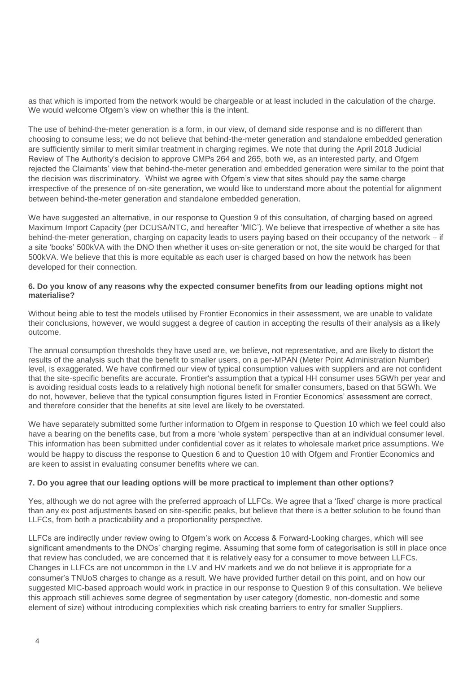as that which is imported from the network would be chargeable or at least included in the calculation of the charge. We would welcome Ofgem's view on whether this is the intent.

The use of behind-the-meter generation is a form, in our view, of demand side response and is no different than choosing to consume less; we do not believe that behind-the-meter generation and standalone embedded generation are sufficiently similar to merit similar treatment in charging regimes. We note that during the April 2018 Judicial Review of The Authority's decision to approve CMPs 264 and 265, both we, as an interested party, and Ofgem rejected the Claimants' view that behind-the-meter generation and embedded generation were similar to the point that the decision was discriminatory. Whilst we agree with Ofgem's view that sites should pay the same charge irrespective of the presence of on-site generation, we would like to understand more about the potential for alignment between behind-the-meter generation and standalone embedded generation.

We have suggested an alternative, in our response to Question 9 of this consultation, of charging based on agreed Maximum Import Capacity (per DCUSA/NTC, and hereafter 'MIC'). We believe that irrespective of whether a site has behind-the-meter generation, charging on capacity leads to users paying based on their occupancy of the network – if a site 'books' 500kVA with the DNO then whether it uses on-site generation or not, the site would be charged for that 500kVA. We believe that this is more equitable as each user is charged based on how the network has been developed for their connection.

# **6. Do you know of any reasons why the expected consumer benefits from our leading options might not materialise?**

Without being able to test the models utilised by Frontier Economics in their assessment, we are unable to validate their conclusions, however, we would suggest a degree of caution in accepting the results of their analysis as a likely outcome.

The annual consumption thresholds they have used are, we believe, not representative, and are likely to distort the results of the analysis such that the benefit to smaller users, on a per-MPAN (Meter Point Administration Number) level, is exaggerated. We have confirmed our view of typical consumption values with suppliers and are not confident that the site-specific benefits are accurate. Frontier's assumption that a typical HH consumer uses 5GWh per year and is avoiding residual costs leads to a relatively high notional benefit for smaller consumers, based on that 5GWh. We do not, however, believe that the typical consumption figures listed in Frontier Economics' assessment are correct, and therefore consider that the benefits at site level are likely to be overstated.

We have separately submitted some further information to Ofgem in response to Question 10 which we feel could also have a bearing on the benefits case, but from a more 'whole system' perspective than at an individual consumer level. This information has been submitted under confidential cover as it relates to wholesale market price assumptions. We would be happy to discuss the response to Question 6 and to Question 10 with Ofgem and Frontier Economics and are keen to assist in evaluating consumer benefits where we can.

# **7. Do you agree that our leading options will be more practical to implement than other options?**

Yes, although we do not agree with the preferred approach of LLFCs. We agree that a 'fixed' charge is more practical than any ex post adjustments based on site-specific peaks, but believe that there is a better solution to be found than LLFCs, from both a practicability and a proportionality perspective.

LLFCs are indirectly under review owing to Ofgem's work on Access & Forward-Looking charges, which will see significant amendments to the DNOs' charging regime. Assuming that some form of categorisation is still in place once that review has concluded, we are concerned that it is relatively easy for a consumer to move between LLFCs. Changes in LLFCs are not uncommon in the LV and HV markets and we do not believe it is appropriate for a consumer's TNUoS charges to change as a result. We have provided further detail on this point, and on how our suggested MIC-based approach would work in practice in our response to Question 9 of this consultation. We believe this approach still achieves some degree of segmentation by user category (domestic, non-domestic and some element of size) without introducing complexities which risk creating barriers to entry for smaller Suppliers.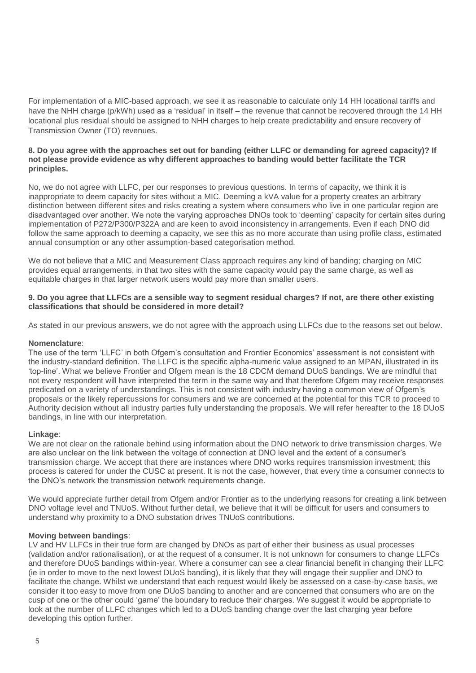For implementation of a MIC-based approach, we see it as reasonable to calculate only 14 HH locational tariffs and have the NHH charge (p/kWh) used as a 'residual' in itself – the revenue that cannot be recovered through the 14 HH locational plus residual should be assigned to NHH charges to help create predictability and ensure recovery of Transmission Owner (TO) revenues.

### **8. Do you agree with the approaches set out for banding (either LLFC or demanding for agreed capacity)? If not please provide evidence as why different approaches to banding would better facilitate the TCR principles.**

No, we do not agree with LLFC, per our responses to previous questions. In terms of capacity, we think it is inappropriate to deem capacity for sites without a MIC. Deeming a kVA value for a property creates an arbitrary distinction between different sites and risks creating a system where consumers who live in one particular region are disadvantaged over another. We note the varying approaches DNOs took to 'deeming' capacity for certain sites during implementation of P272/P300/P322A and are keen to avoid inconsistency in arrangements. Even if each DNO did follow the same approach to deeming a capacity, we see this as no more accurate than using profile class, estimated annual consumption or any other assumption-based categorisation method.

We do not believe that a MIC and Measurement Class approach requires any kind of banding; charging on MIC provides equal arrangements, in that two sites with the same capacity would pay the same charge, as well as equitable charges in that larger network users would pay more than smaller users.

## **9. Do you agree that LLFCs are a sensible way to segment residual charges? If not, are there other existing classifications that should be considered in more detail?**

As stated in our previous answers, we do not agree with the approach using LLFCs due to the reasons set out below.

#### **Nomenclature**:

The use of the term 'LLFC' in both Ofgem's consultation and Frontier Economics' assessment is not consistent with the industry-standard definition. The LLFC is the specific alpha-numeric value assigned to an MPAN, illustrated in its 'top-line'. What we believe Frontier and Ofgem mean is the 18 CDCM demand DUoS bandings. We are mindful that not every respondent will have interpreted the term in the same way and that therefore Ofgem may receive responses predicated on a variety of understandings. This is not consistent with industry having a common view of Ofgem's proposals or the likely repercussions for consumers and we are concerned at the potential for this TCR to proceed to Authority decision without all industry parties fully understanding the proposals. We will refer hereafter to the 18 DUoS bandings, in line with our interpretation.

#### **Linkage**:

We are not clear on the rationale behind using information about the DNO network to drive transmission charges. We are also unclear on the link between the voltage of connection at DNO level and the extent of a consumer's transmission charge. We accept that there are instances where DNO works requires transmission investment; this process is catered for under the CUSC at present. It is not the case, however, that every time a consumer connects to the DNO's network the transmission network requirements change.

We would appreciate further detail from Ofgem and/or Frontier as to the underlying reasons for creating a link between DNO voltage level and TNUoS. Without further detail, we believe that it will be difficult for users and consumers to understand why proximity to a DNO substation drives TNUoS contributions.

#### **Moving between bandings**:

LV and HV LLFCs in their true form are changed by DNOs as part of either their business as usual processes (validation and/or rationalisation), or at the request of a consumer. It is not unknown for consumers to change LLFCs and therefore DUoS bandings within-year. Where a consumer can see a clear financial benefit in changing their LLFC (ie in order to move to the next lowest DUoS banding), it is likely that they will engage their supplier and DNO to facilitate the change. Whilst we understand that each request would likely be assessed on a case-by-case basis, we consider it too easy to move from one DUoS banding to another and are concerned that consumers who are on the cusp of one or the other could 'game' the boundary to reduce their charges. We suggest it would be appropriate to look at the number of LLFC changes which led to a DUoS banding change over the last charging year before developing this option further.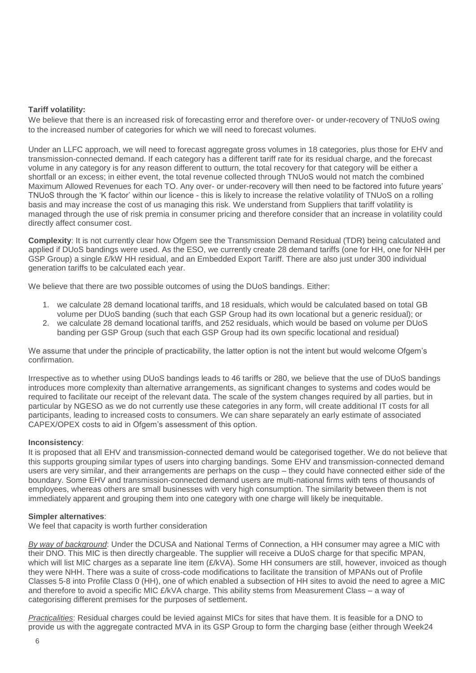# **Tariff volatility:**

We believe that there is an increased risk of forecasting error and therefore over- or under-recovery of TNUoS owing to the increased number of categories for which we will need to forecast volumes.

Under an LLFC approach, we will need to forecast aggregate gross volumes in 18 categories, plus those for EHV and transmission-connected demand. If each category has a different tariff rate for its residual charge, and the forecast volume in any category is for any reason different to outturn, the total recovery for that category will be either a shortfall or an excess; in either event, the total revenue collected through TNUoS would not match the combined Maximum Allowed Revenues for each TO. Any over- or under-recovery will then need to be factored into future years' TNUoS through the 'K factor' within our licence - this is likely to increase the relative volatility of TNUoS on a rolling basis and may increase the cost of us managing this risk. We understand from Suppliers that tariff volatility is managed through the use of risk premia in consumer pricing and therefore consider that an increase in volatility could directly affect consumer cost.

**Complexity**: It is not currently clear how Ofgem see the Transmission Demand Residual (TDR) being calculated and applied if DUoS bandings were used. As the ESO, we currently create 28 demand tariffs (one for HH, one for NHH per GSP Group) a single £/kW HH residual, and an Embedded Export Tariff. There are also just under 300 individual generation tariffs to be calculated each year.

We believe that there are two possible outcomes of using the DUoS bandings. Either:

- 1. we calculate 28 demand locational tariffs, and 18 residuals, which would be calculated based on total GB volume per DUoS banding (such that each GSP Group had its own locational but a generic residual); or
- 2. we calculate 28 demand locational tariffs, and 252 residuals, which would be based on volume per DUoS banding per GSP Group (such that each GSP Group had its own specific locational and residual)

We assume that under the principle of practicability, the latter option is not the intent but would welcome Ofgem's confirmation.

Irrespective as to whether using DUoS bandings leads to 46 tariffs or 280, we believe that the use of DUoS bandings introduces more complexity than alternative arrangements, as significant changes to systems and codes would be required to facilitate our receipt of the relevant data. The scale of the system changes required by all parties, but in particular by NGESO as we do not currently use these categories in any form, will create additional IT costs for all participants, leading to increased costs to consumers. We can share separately an early estimate of associated CAPEX/OPEX costs to aid in Ofgem's assessment of this option.

# **Inconsistency**:

It is proposed that all EHV and transmission-connected demand would be categorised together. We do not believe that this supports grouping similar types of users into charging bandings. Some EHV and transmission-connected demand users are very similar, and their arrangements are perhaps on the cusp – they could have connected either side of the boundary. Some EHV and transmission-connected demand users are multi-national firms with tens of thousands of employees, whereas others are small businesses with very high consumption. The similarity between them is not immediately apparent and grouping them into one category with one charge will likely be inequitable.

#### **Simpler alternatives**:

We feel that capacity is worth further consideration

*By way of background*: Under the DCUSA and National Terms of Connection, a HH consumer may agree a MIC with their DNO. This MIC is then directly chargeable. The supplier will receive a DUoS charge for that specific MPAN, which will list MIC charges as a separate line item (£/kVA). Some HH consumers are still, however, invoiced as though they were NHH. There was a suite of cross-code modifications to facilitate the transition of MPANs out of Profile Classes 5-8 into Profile Class 0 (HH), one of which enabled a subsection of HH sites to avoid the need to agree a MIC and therefore to avoid a specific MIC £/kVA charge. This ability stems from Measurement Class – a way of categorising different premises for the purposes of settlement.

*Practicalities*: Residual charges could be levied against MICs for sites that have them. It is feasible for a DNO to provide us with the aggregate contracted MVA in its GSP Group to form the charging base (either through Week24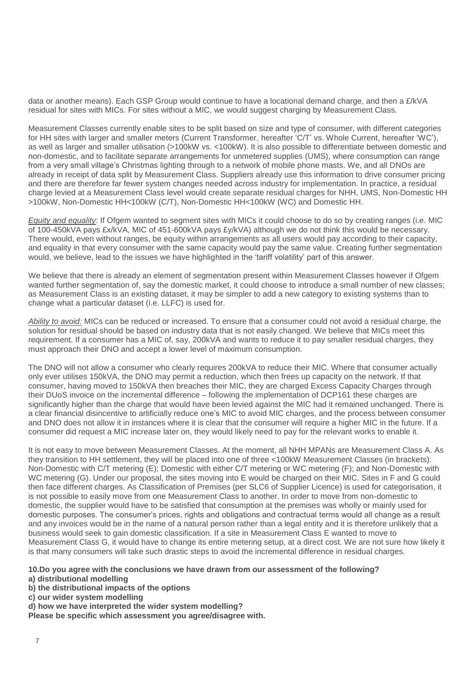data or another means). Each GSP Group would continue to have a locational demand charge, and then a £/kVA residual for sites with MICs. For sites without a MIC, we would suggest charging by Measurement Class.

Measurement Classes currently enable sites to be split based on size and type of consumer, with different categories for HH sites with larger and smaller meters (Current Transformer, hereafter 'C/T' vs. Whole Current, hereafter 'WC'), as well as larger and smaller utilisation (>100kW vs. <100kW). It is also possible to differentiate between domestic and non-domestic, and to facilitate separate arrangements for unmetered supplies (UMS), where consumption can range from a very small village's Christmas lighting through to a network of mobile phone masts. We, and all DNOs are already in receipt of data split by Measurement Class. Suppliers already use this information to drive consumer pricing and there are therefore far fewer system changes needed across industry for implementation. In practice, a residual charge levied at a Measurement Class level would create separate residual charges for NHH, UMS, Non-Domestic HH >100kW, Non-Domestic HH<100kW (C/T), Non-Domestic HH<100kW (WC) and Domestic HH.

*Equity and equality*: If Ofgem wanted to segment sites with MICs it could choose to do so by creating ranges (i.e. MIC of 100-450kVA pays £x/kVA, MIC of 451-600kVA pays £y/kVA) although we do not think this would be necessary. There would, even without ranges, be equity within arrangements as all users would pay according to their capacity, and equality in that every consumer with the same capacity would pay the same value. Creating further segmentation would, we believe, lead to the issues we have highlighted in the 'tariff volatility' part of this answer.

We believe that there is already an element of segmentation present within Measurement Classes however if Ofgem wanted further segmentation of, say the domestic market, it could choose to introduce a small number of new classes; as Measurement Class is an existing dataset, it may be simpler to add a new category to existing systems than to change what a particular dataset (i.e. LLFC) is used for.

*Ability to avoid:* MICs can be reduced or increased. To ensure that a consumer could not avoid a residual charge, the solution for residual should be based on industry data that is not easily changed. We believe that MICs meet this requirement. If a consumer has a MIC of, say, 200kVA and wants to reduce it to pay smaller residual charges, they must approach their DNO and accept a lower level of maximum consumption.

The DNO will not allow a consumer who clearly requires 200kVA to reduce their MIC. Where that consumer actually only ever utilises 150kVA, the DNO may permit a reduction, which then frees up capacity on the network. If that consumer, having moved to 150kVA then breaches their MIC, they are charged Excess Capacity Charges through their DUoS invoice on the incremental difference – following the implementation of DCP161 these charges are significantly higher than the charge that would have been levied against the MIC had it remained unchanged. There is a clear financial disincentive to artificially reduce one's MIC to avoid MIC charges, and the process between consumer and DNO does not allow it in instances where it is clear that the consumer will require a higher MIC in the future. If a consumer did request a MIC increase later on, they would likely need to pay for the relevant works to enable it.

It is not easy to move between Measurement Classes. At the moment, all NHH MPANs are Measurement Class A. As they transition to HH settlement, they will be placed into one of three <100kW Measurement Classes (in brackets): Non-Domestic with C/T metering (E); Domestic with either C/T metering or WC metering (F); and Non-Domestic with WC metering (G). Under our proposal, the sites moving into E would be charged on their MIC. Sites in F and G could then face different charges. As Classification of Premises (per SLC6 of Supplier Licence) is used for categorisation, it is not possible to easily move from one Measurement Class to another. In order to move from non-domestic to domestic, the supplier would have to be satisfied that consumption at the premises was wholly or mainly used for domestic purposes. The consumer's prices, rights and obligations and contractual terms would all change as a result and any invoices would be in the name of a natural person rather than a legal entity and it is therefore unlikely that a business would seek to gain domestic classification. If a site in Measurement Class E wanted to move to Measurement Class G, it would have to change its entire metering setup, at a direct cost. We are not sure how likely it is that many consumers will take such drastic steps to avoid the incremental difference in residual charges.

**10.Do you agree with the conclusions we have drawn from our assessment of the following?**

**a) distributional modelling**

**b) the distributional impacts of the options**

**c) our wider system modelling**

**d) how we have interpreted the wider system modelling?**

**Please be specific which assessment you agree/disagree with.**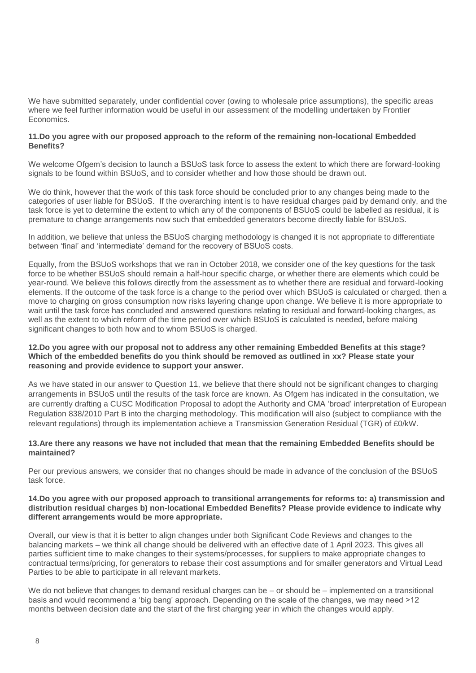We have submitted separately, under confidential cover (owing to wholesale price assumptions), the specific areas where we feel further information would be useful in our assessment of the modelling undertaken by Frontier Economics.

# **11.Do you agree with our proposed approach to the reform of the remaining non-locational Embedded Benefits?**

We welcome Ofgem's decision to launch a BSUoS task force to assess the extent to which there are forward-looking signals to be found within BSUoS, and to consider whether and how those should be drawn out.

We do think, however that the work of this task force should be concluded prior to any changes being made to the categories of user liable for BSUoS. If the overarching intent is to have residual charges paid by demand only, and the task force is yet to determine the extent to which any of the components of BSUoS could be labelled as residual, it is premature to change arrangements now such that embedded generators become directly liable for BSUoS.

In addition, we believe that unless the BSUoS charging methodology is changed it is not appropriate to differentiate between 'final' and 'intermediate' demand for the recovery of BSUoS costs.

Equally, from the BSUoS workshops that we ran in October 2018, we consider one of the key questions for the task force to be whether BSUoS should remain a half-hour specific charge, or whether there are elements which could be year-round. We believe this follows directly from the assessment as to whether there are residual and forward-looking elements. If the outcome of the task force is a change to the period over which BSUoS is calculated or charged, then a move to charging on gross consumption now risks layering change upon change. We believe it is more appropriate to wait until the task force has concluded and answered questions relating to residual and forward-looking charges, as well as the extent to which reform of the time period over which BSUoS is calculated is needed, before making significant changes to both how and to whom BSUoS is charged.

### **12.Do you agree with our proposal not to address any other remaining Embedded Benefits at this stage? Which of the embedded benefits do you think should be removed as outlined in xx? Please state your reasoning and provide evidence to support your answer.**

As we have stated in our answer to Question 11, we believe that there should not be significant changes to charging arrangements in BSUoS until the results of the task force are known. As Ofgem has indicated in the consultation, we are currently drafting a CUSC Modification Proposal to adopt the Authority and CMA 'broad' interpretation of European Regulation 838/2010 Part B into the charging methodology. This modification will also (subject to compliance with the relevant regulations) through its implementation achieve a Transmission Generation Residual (TGR) of £0/kW.

## **13.Are there any reasons we have not included that mean that the remaining Embedded Benefits should be maintained?**

Per our previous answers, we consider that no changes should be made in advance of the conclusion of the BSUoS task force.

### **14.Do you agree with our proposed approach to transitional arrangements for reforms to: a) transmission and distribution residual charges b) non-locational Embedded Benefits? Please provide evidence to indicate why different arrangements would be more appropriate.**

Overall, our view is that it is better to align changes under both Significant Code Reviews and changes to the balancing markets – we think all change should be delivered with an effective date of 1 April 2023. This gives all parties sufficient time to make changes to their systems/processes, for suppliers to make appropriate changes to contractual terms/pricing, for generators to rebase their cost assumptions and for smaller generators and Virtual Lead Parties to be able to participate in all relevant markets.

We do not believe that changes to demand residual charges can be – or should be – implemented on a transitional basis and would recommend a 'big bang' approach. Depending on the scale of the changes, we may need >12 months between decision date and the start of the first charging year in which the changes would apply.